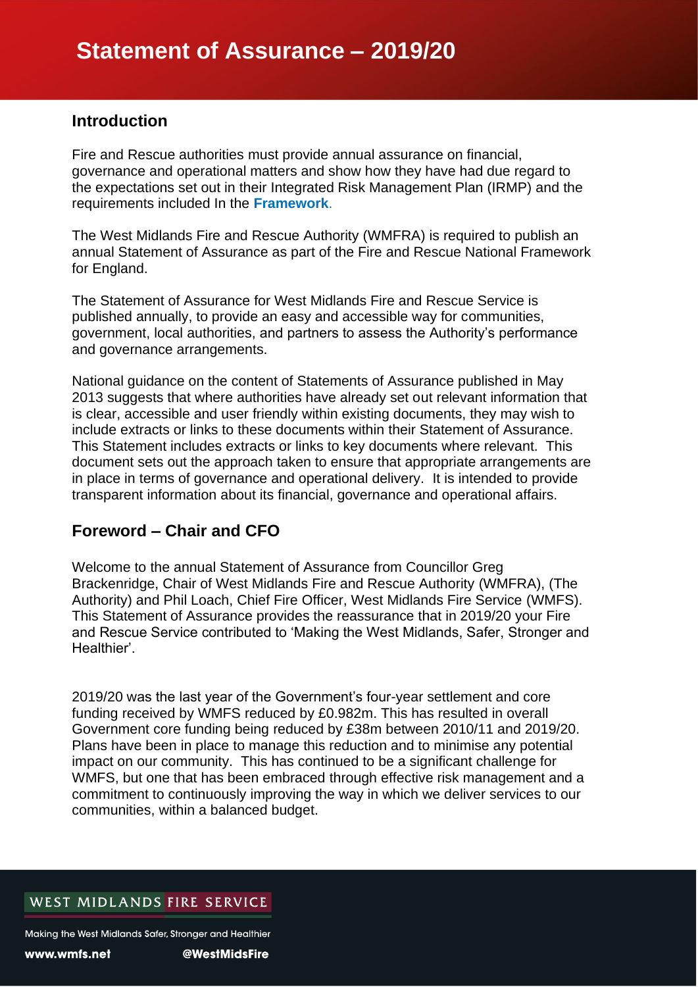# **Introduction**

Fire and Rescue authorities must provide annual assurance on financial, governance and operational matters and show how they have had due regard to the expectations set out in their Integrated Risk Management Plan (IRMP) and the requirements included In the **Framework**.

The West Midlands Fire and Rescue Authority (WMFRA) is required to publish an annual Statement of Assurance as part of the Fire and Rescue National Framework for England.

The Statement of Assurance for West Midlands Fire and Rescue Service is published annually, to provide an easy and accessible way for communities, government, local authorities, and partners to assess the Authority's performance and governance arrangements.

National guidance on the content of Statements of Assurance published in May 2013 suggests that where authorities have already set out relevant information that is clear, accessible and user friendly within existing documents, they may wish to include extracts or links to these documents within their Statement of Assurance. This Statement includes extracts or links to key documents where relevant. This document sets out the approach taken to ensure that appropriate arrangements are in place in terms of governance and operational delivery. It is intended to provide transparent information about its financial, governance and operational affairs.

# **Foreword – Chair and CFO**

Welcome to the annual Statement of Assurance from Councillor Greg Brackenridge, Chair of West Midlands Fire and Rescue Authority (WMFRA), (The Authority) and Phil Loach, Chief Fire Officer, West Midlands Fire Service (WMFS). This Statement of Assurance provides the reassurance that in 2019/20 your Fire and Rescue Service contributed to 'Making the West Midlands, Safer, Stronger and Healthier'.

2019/20 was the last year of the Government's four-year settlement and core funding received by WMFS reduced by £0.982m. This has resulted in overall Government core funding being reduced by £38m between 2010/11 and 2019/20. Plans have been in place to manage this reduction and to minimise any potential impact on our community. This has continued to be a significant challenge for WMFS, but one that has been embraced through effective risk management and a commitment to continuously improving the way in which we deliver services to our communities, within a balanced budget.

# WEST MIDLANDS FIRE SERVICE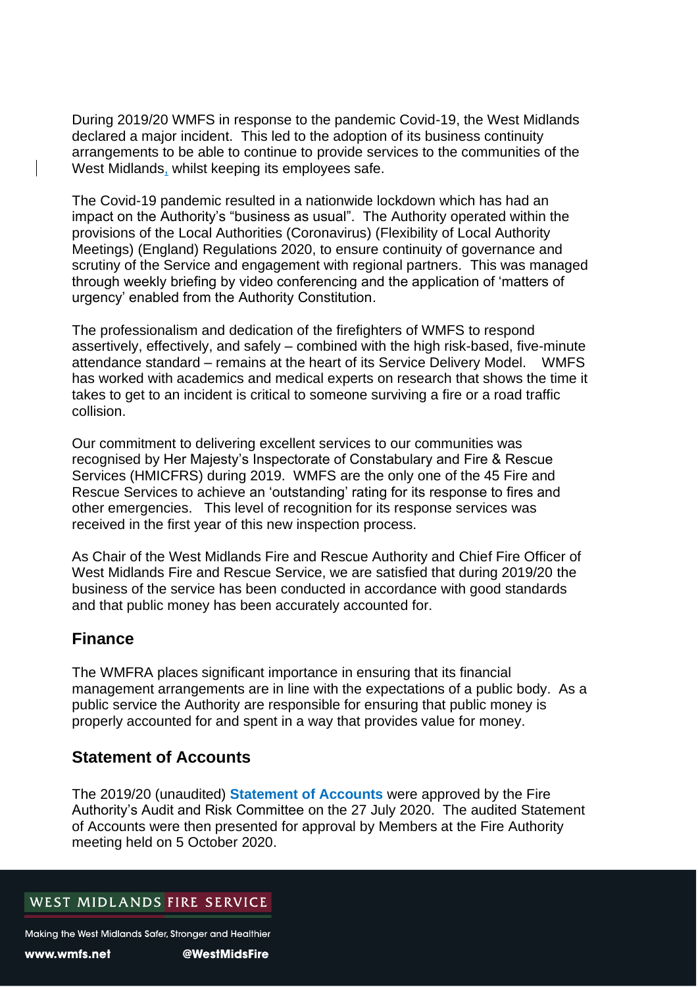During 2019/20 WMFS in response to the pandemic Covid-19, the West Midlands declared a major incident. This led to the adoption of its business continuity arrangements to be able to continue to provide services to the communities of the West Midlands, whilst keeping its employees safe.

The Covid-19 pandemic resulted in a nationwide lockdown which has had an impact on the Authority's "business as usual". The Authority operated within the provisions of the Local Authorities (Coronavirus) (Flexibility of Local Authority Meetings) (England) Regulations 2020, to ensure continuity of governance and scrutiny of the Service and engagement with regional partners. This was managed through weekly briefing by video conferencing and the application of 'matters of urgency' enabled from the Authority Constitution.

The professionalism and dedication of the firefighters of WMFS to respond assertively, effectively, and safely – combined with the high risk-based, five-minute attendance standard – remains at the heart of its Service Delivery Model. WMFS has worked with academics and medical experts on research that shows the time it takes to get to an incident is critical to someone surviving a fire or a road traffic collision.

Our commitment to delivering excellent services to our communities was recognised by Her Majesty's Inspectorate of Constabulary and Fire & Rescue Services (HMICFRS) during 2019. WMFS are the only one of the 45 Fire and Rescue Services to achieve an 'outstanding' rating for its response to fires and other emergencies. This level of recognition for its response services was received in the first year of this new inspection process.

As Chair of the West Midlands Fire and Rescue Authority and Chief Fire Officer of West Midlands Fire and Rescue Service, we are satisfied that during 2019/20 the business of the service has been conducted in accordance with good standards and that public money has been accurately accounted for.

# **Finance**

The WMFRA places significant importance in ensuring that its financial management arrangements are in line with the expectations of a public body. As a public service the Authority are responsible for ensuring that public money is properly accounted for and spent in a way that provides value for money.

# **Statement of Accounts**

The 2019/20 (unaudited) **Statement of Accounts** were approved by the Fire Authority's Audit and Risk Committee on the 27 July 2020. The audited Statement of Accounts were then presented for approval by Members at the Fire Authority meeting held on 5 October 2020.

## WEST MIDLANDS FIRE SERVICE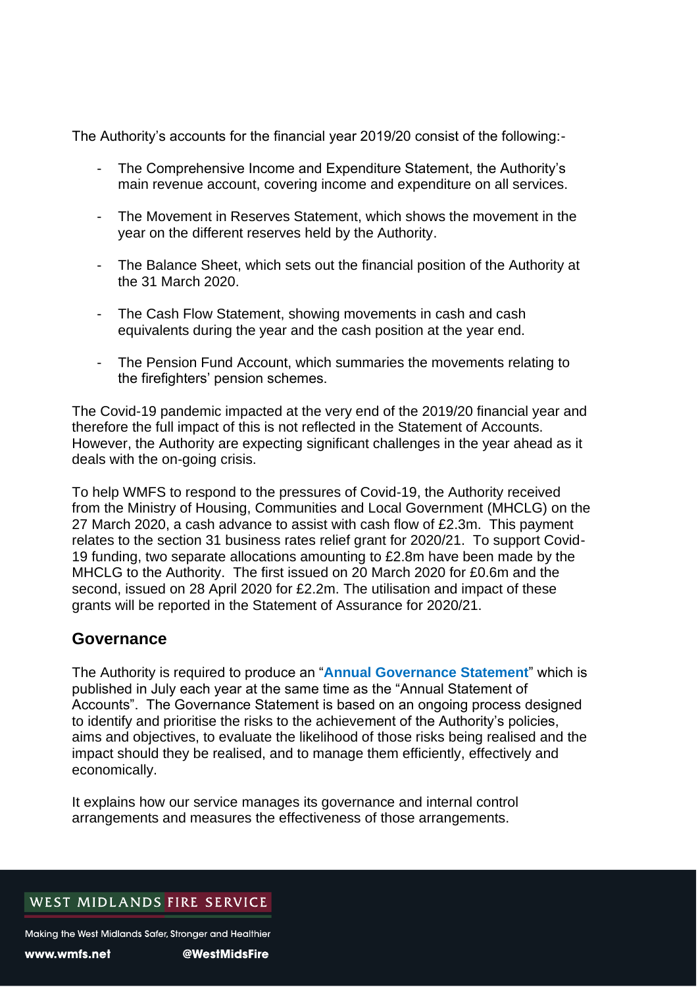The Authority's accounts for the financial year 2019/20 consist of the following:-

- The Comprehensive Income and Expenditure Statement, the Authority's main revenue account, covering income and expenditure on all services.
- The Movement in Reserves Statement, which shows the movement in the year on the different reserves held by the Authority.
- The Balance Sheet, which sets out the financial position of the Authority at the 31 March 2020.
- The Cash Flow Statement, showing movements in cash and cash equivalents during the year and the cash position at the year end.
- The Pension Fund Account, which summaries the movements relating to the firefighters' pension schemes.

The Covid-19 pandemic impacted at the very end of the 2019/20 financial year and therefore the full impact of this is not reflected in the Statement of Accounts. However, the Authority are expecting significant challenges in the year ahead as it deals with the on-going crisis.

To help WMFS to respond to the pressures of Covid-19, the Authority received from the Ministry of Housing, Communities and Local Government (MHCLG) on the 27 March 2020, a cash advance to assist with cash flow of £2.3m. This payment relates to the section 31 business rates relief grant for 2020/21. To support Covid-19 funding, two separate allocations amounting to £2.8m have been made by the MHCLG to the Authority. The first issued on 20 March 2020 for £0.6m and the second, issued on 28 April 2020 for £2.2m. The utilisation and impact of these grants will be reported in the Statement of Assurance for 2020/21.

## **Governance**

The Authority is required to produce an "**Annual Governance Statement**" which is published in July each year at the same time as the "Annual Statement of Accounts". The Governance Statement is based on an ongoing process designed to identify and prioritise the risks to the achievement of the Authority's policies, aims and objectives, to evaluate the likelihood of those risks being realised and the impact should they be realised, and to manage them efficiently, effectively and economically.

It explains how our service manages its governance and internal control arrangements and measures the effectiveness of those arrangements.

## WEST MIDLANDS FIRE SERVICE

Making the West Midlands Safer, Stronger and Healthier

@WestMidsFire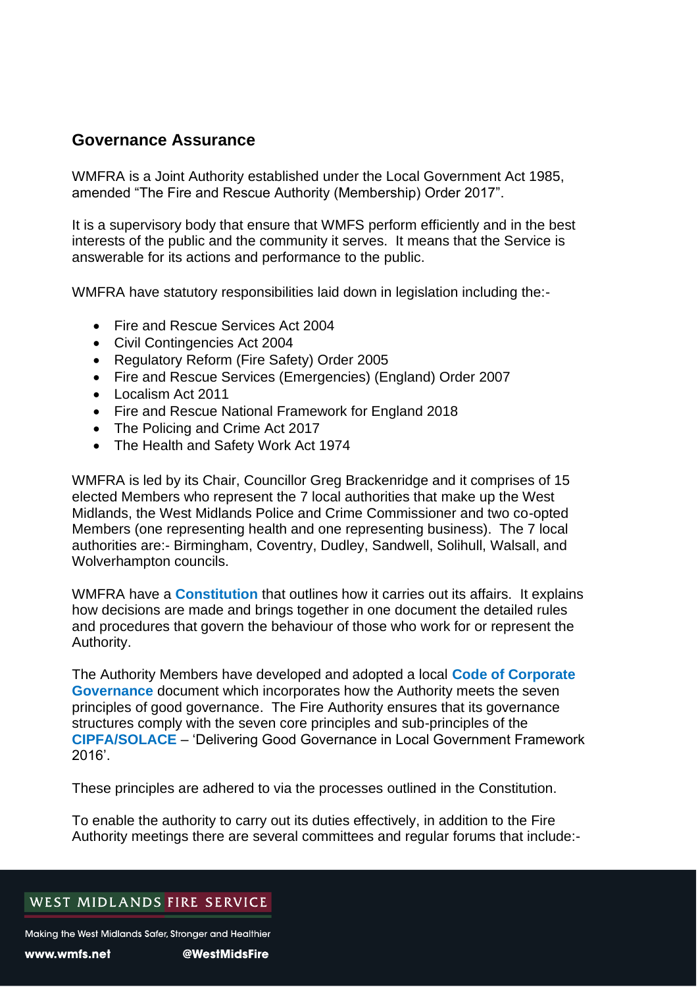# **Governance Assurance**

WMFRA is a Joint Authority established under the Local Government Act 1985, amended "The Fire and Rescue Authority (Membership) Order 2017".

It is a supervisory body that ensure that WMFS perform efficiently and in the best interests of the public and the community it serves. It means that the Service is answerable for its actions and performance to the public.

WMFRA have statutory responsibilities laid down in legislation including the:-

- Fire and Rescue Services Act 2004
- Civil Contingencies Act 2004
- Regulatory Reform (Fire Safety) Order 2005
- Fire and Rescue Services (Emergencies) (England) Order 2007
- Localism Act 2011
- Fire and Rescue National Framework for England 2018
- The Policing and Crime Act 2017
- The Health and Safety Work Act 1974

WMFRA is led by its Chair, Councillor Greg Brackenridge and it comprises of 15 elected Members who represent the 7 local authorities that make up the West Midlands, the West Midlands Police and Crime Commissioner and two co-opted Members (one representing health and one representing business). The 7 local authorities are:- Birmingham, Coventry, Dudley, Sandwell, Solihull, Walsall, and Wolverhampton councils.

WMFRA have a **Constitution** that outlines how it carries out its affairs. It explains how decisions are made and brings together in one document the detailed rules and procedures that govern the behaviour of those who work for or represent the Authority.

The Authority Members have developed and adopted a local **Code of Corporate Governance** document which incorporates how the Authority meets the seven principles of good governance. The Fire Authority ensures that its governance structures comply with the seven core principles and sub-principles of the **CIPFA/SOLACE** – 'Delivering Good Governance in Local Government Framework 2016'.

These principles are adhered to via the processes outlined in the Constitution.

To enable the authority to carry out its duties effectively, in addition to the Fire Authority meetings there are several committees and regular forums that include:-

### WEST MIDLANDS FIRE SERVICE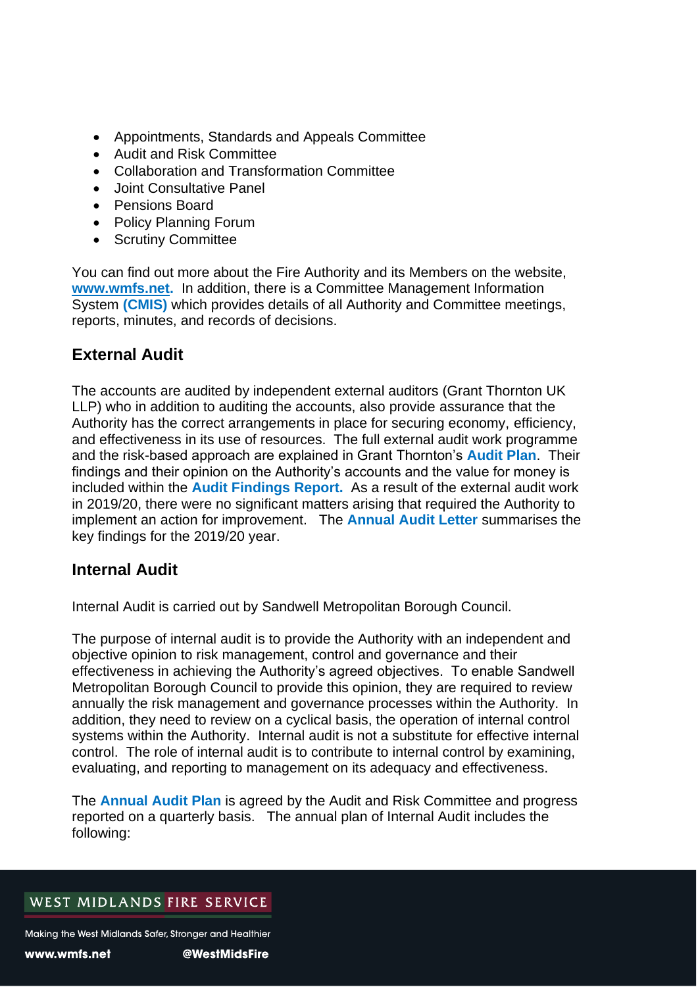- Appointments, Standards and Appeals Committee
- Audit and Risk Committee
- Collaboration and Transformation Committee
- Joint Consultative Panel
- Pensions Board
- Policy Planning Forum
- Scrutiny Committee

You can find out more about the Fire Authority and its Members on the website, **[www.wmfs.net.](http://www.wmfs.net/)** In addition, there is a Committee Management Information System **(CMIS)** which provides details of all Authority and Committee meetings, reports, minutes, and records of decisions.

# **External Audit**

The accounts are audited by independent external auditors (Grant Thornton UK LLP) who in addition to auditing the accounts, also provide assurance that the Authority has the correct arrangements in place for securing economy, efficiency, and effectiveness in its use of resources. The full external audit work programme and the risk-based approach are explained in Grant Thornton's **Audit Plan**. Their findings and their opinion on the Authority's accounts and the value for money is included within the **Audit Findings Report.** As a result of the external audit work in 2019/20, there were no significant matters arising that required the Authority to implement an action for improvement. The **Annual Audit Letter** summarises the key findings for the 2019/20 year.

# **Internal Audit**

Internal Audit is carried out by Sandwell Metropolitan Borough Council.

The purpose of internal audit is to provide the Authority with an independent and objective opinion to risk management, control and governance and their effectiveness in achieving the Authority's agreed objectives. To enable Sandwell Metropolitan Borough Council to provide this opinion, they are required to review annually the risk management and governance processes within the Authority. In addition, they need to review on a cyclical basis, the operation of internal control systems within the Authority. Internal audit is not a substitute for effective internal control. The role of internal audit is to contribute to internal control by examining, evaluating, and reporting to management on its adequacy and effectiveness.

The **Annual Audit Plan** is agreed by the Audit and Risk Committee and progress reported on a quarterly basis. The annual plan of Internal Audit includes the following:

# WEST MIDLANDS FIRE SERVICE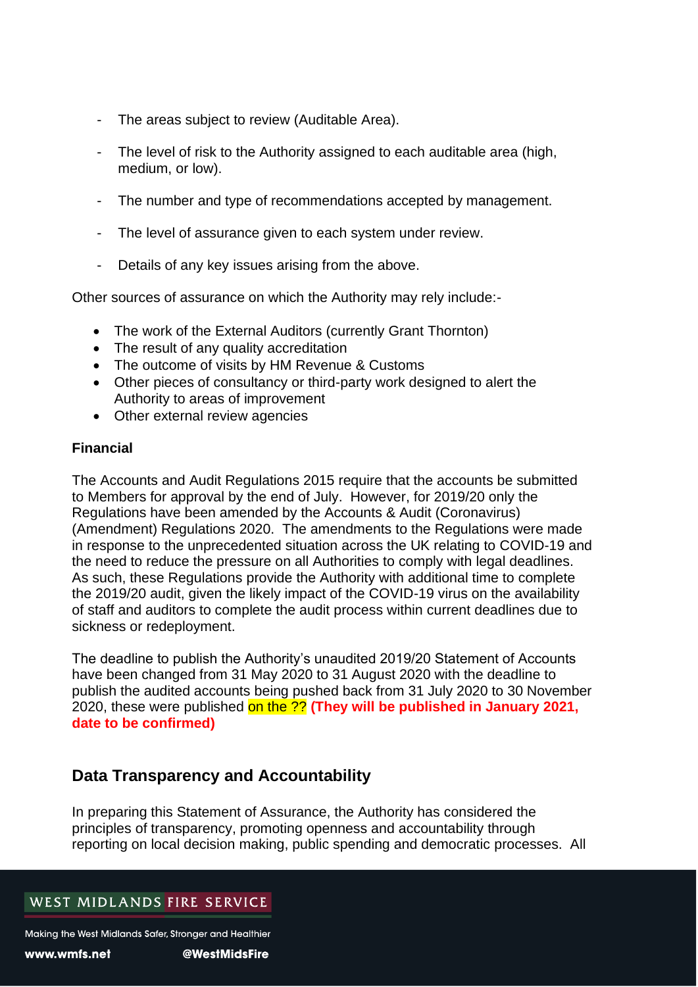- The areas subject to review (Auditable Area).
- The level of risk to the Authority assigned to each auditable area (high, medium, or low).
- The number and type of recommendations accepted by management.
- The level of assurance given to each system under review.
- Details of any key issues arising from the above.

Other sources of assurance on which the Authority may rely include:-

- The work of the External Auditors (currently Grant Thornton)
- The result of any quality accreditation
- The outcome of visits by HM Revenue & Customs
- Other pieces of consultancy or third-party work designed to alert the Authority to areas of improvement
- Other external review agencies

### **Financial**

The Accounts and Audit Regulations 2015 require that the accounts be submitted to Members for approval by the end of July. However, for 2019/20 only the Regulations have been amended by the Accounts & Audit (Coronavirus) (Amendment) Regulations 2020. The amendments to the Regulations were made in response to the unprecedented situation across the UK relating to COVID-19 and the need to reduce the pressure on all Authorities to comply with legal deadlines. As such, these Regulations provide the Authority with additional time to complete the 2019/20 audit, given the likely impact of the COVID-19 virus on the availability of staff and auditors to complete the audit process within current deadlines due to sickness or redeployment.

The deadline to publish the Authority's unaudited 2019/20 Statement of Accounts have been changed from 31 May 2020 to 31 August 2020 with the deadline to publish the audited accounts being pushed back from 31 July 2020 to 30 November 2020, these were published on the ?? **(They will be published in January 2021, date to be confirmed)**

# **Data Transparency and Accountability**

In preparing this Statement of Assurance, the Authority has considered the principles of transparency, promoting openness and accountability through reporting on local decision making, public spending and democratic processes. All

# WEST MIDLANDS FIRE SERVICE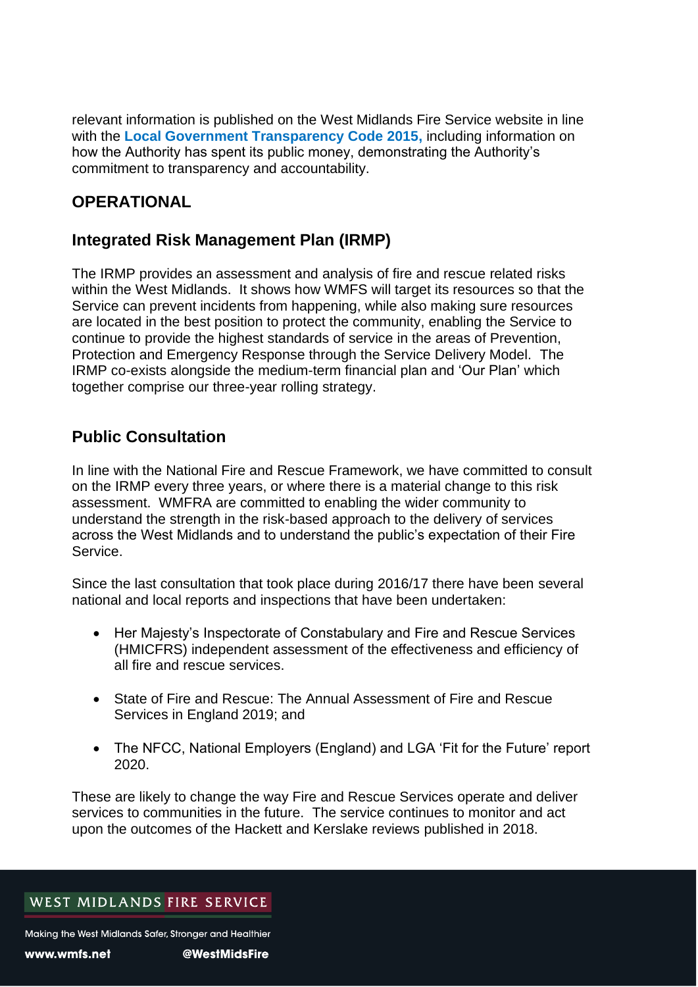relevant information is published on the West Midlands Fire Service website in line with the **Local Government Transparency Code 2015,** including information on how the Authority has spent its public money, demonstrating the Authority's commitment to transparency and accountability.

# **OPERATIONAL**

# **Integrated Risk Management Plan (IRMP)**

The IRMP provides an assessment and analysis of fire and rescue related risks within the West Midlands. It shows how WMFS will target its resources so that the Service can prevent incidents from happening, while also making sure resources are located in the best position to protect the community, enabling the Service to continue to provide the highest standards of service in the areas of Prevention, Protection and Emergency Response through the Service Delivery Model. The IRMP co-exists alongside the medium-term financial plan and 'Our Plan' which together comprise our three-year rolling strategy.

# **Public Consultation**

In line with the National Fire and Rescue Framework, we have committed to consult on the IRMP every three years, or where there is a material change to this risk assessment. WMFRA are committed to enabling the wider community to understand the strength in the risk-based approach to the delivery of services across the West Midlands and to understand the public's expectation of their Fire Service.

Since the last consultation that took place during 2016/17 there have been several national and local reports and inspections that have been undertaken:

- Her Majesty's Inspectorate of Constabulary and Fire and Rescue Services (HMICFRS) independent assessment of the effectiveness and efficiency of all fire and rescue services.
- State of Fire and Rescue: The Annual Assessment of Fire and Rescue Services in England 2019; and
- The NFCC, National Employers (England) and LGA 'Fit for the Future' report 2020.

These are likely to change the way Fire and Rescue Services operate and deliver services to communities in the future. The service continues to monitor and act upon the outcomes of the Hackett and Kerslake reviews published in 2018.

# WEST MIDLANDS FIRE SERVICE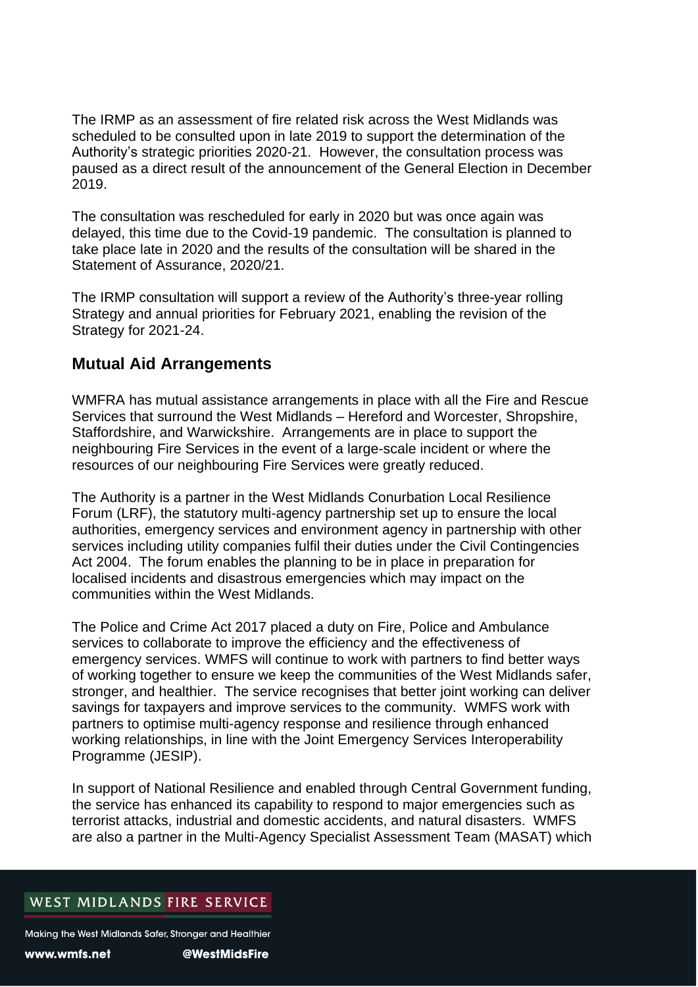The IRMP as an assessment of fire related risk across the West Midlands was scheduled to be consulted upon in late 2019 to support the determination of the Authority's strategic priorities 2020-21. However, the consultation process was paused as a direct result of the announcement of the General Election in December 2019.

The consultation was rescheduled for early in 2020 but was once again was delayed, this time due to the Covid-19 pandemic. The consultation is planned to take place late in 2020 and the results of the consultation will be shared in the Statement of Assurance, 2020/21.

The IRMP consultation will support a review of the Authority's three-year rolling Strategy and annual priorities for February 2021, enabling the revision of the Strategy for 2021-24.

# **Mutual Aid Arrangements**

WMFRA has mutual assistance arrangements in place with all the Fire and Rescue Services that surround the West Midlands – Hereford and Worcester, Shropshire, Staffordshire, and Warwickshire. Arrangements are in place to support the neighbouring Fire Services in the event of a large-scale incident or where the resources of our neighbouring Fire Services were greatly reduced.

The Authority is a partner in the West Midlands Conurbation Local Resilience Forum (LRF), the statutory multi-agency partnership set up to ensure the local authorities, emergency services and environment agency in partnership with other services including utility companies fulfil their duties under the Civil Contingencies Act 2004. The forum enables the planning to be in place in preparation for localised incidents and disastrous emergencies which may impact on the communities within the West Midlands.

The Police and Crime Act 2017 placed a duty on Fire, Police and Ambulance services to collaborate to improve the efficiency and the effectiveness of emergency services. WMFS will continue to work with partners to find better ways of working together to ensure we keep the communities of the West Midlands safer, stronger, and healthier. The service recognises that better joint working can deliver savings for taxpayers and improve services to the community. WMFS work with partners to optimise multi-agency response and resilience through enhanced working relationships, in line with the Joint Emergency Services Interoperability Programme (JESIP).

In support of National Resilience and enabled through Central Government funding, the service has enhanced its capability to respond to major emergencies such as terrorist attacks, industrial and domestic accidents, and natural disasters. WMFS are also a partner in the Multi-Agency Specialist Assessment Team (MASAT) which

## WEST MIDLANDS FIRE SERVICE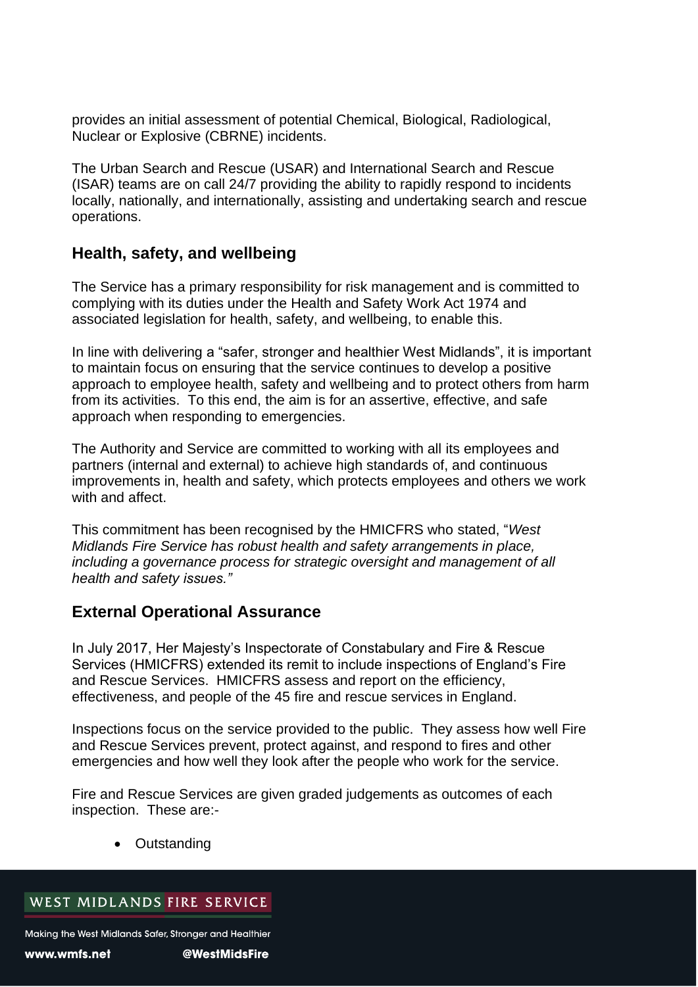provides an initial assessment of potential Chemical, Biological, Radiological, Nuclear or Explosive (CBRNE) incidents.

The Urban Search and Rescue (USAR) and International Search and Rescue (ISAR) teams are on call 24/7 providing the ability to rapidly respond to incidents locally, nationally, and internationally, assisting and undertaking search and rescue operations.

# **Health, safety, and wellbeing**

The Service has a primary responsibility for risk management and is committed to complying with its duties under the Health and Safety Work Act 1974 and associated legislation for health, safety, and wellbeing, to enable this.

In line with delivering a "safer, stronger and healthier West Midlands", it is important to maintain focus on ensuring that the service continues to develop a positive approach to employee health, safety and wellbeing and to protect others from harm from its activities. To this end, the aim is for an assertive, effective, and safe approach when responding to emergencies.

The Authority and Service are committed to working with all its employees and partners (internal and external) to achieve high standards of, and continuous improvements in, health and safety, which protects employees and others we work with and affect.

This commitment has been recognised by the HMICFRS who stated, "*West Midlands Fire Service has robust health and safety arrangements in place, including a governance process for strategic oversight and management of all health and safety issues."*

# **External Operational Assurance**

In July 2017, Her Majesty's Inspectorate of Constabulary and Fire & Rescue Services (HMICFRS) extended its remit to include inspections of England's Fire and Rescue Services. HMICFRS assess and report on the efficiency, effectiveness, and people of the 45 fire and rescue services in England.

Inspections focus on the service provided to the public. They assess how well Fire and Rescue Services prevent, protect against, and respond to fires and other emergencies and how well they look after the people who work for the service.

Fire and Rescue Services are given graded judgements as outcomes of each inspection. These are:-

• Outstanding

# WEST MIDLANDS FIRE SERVICE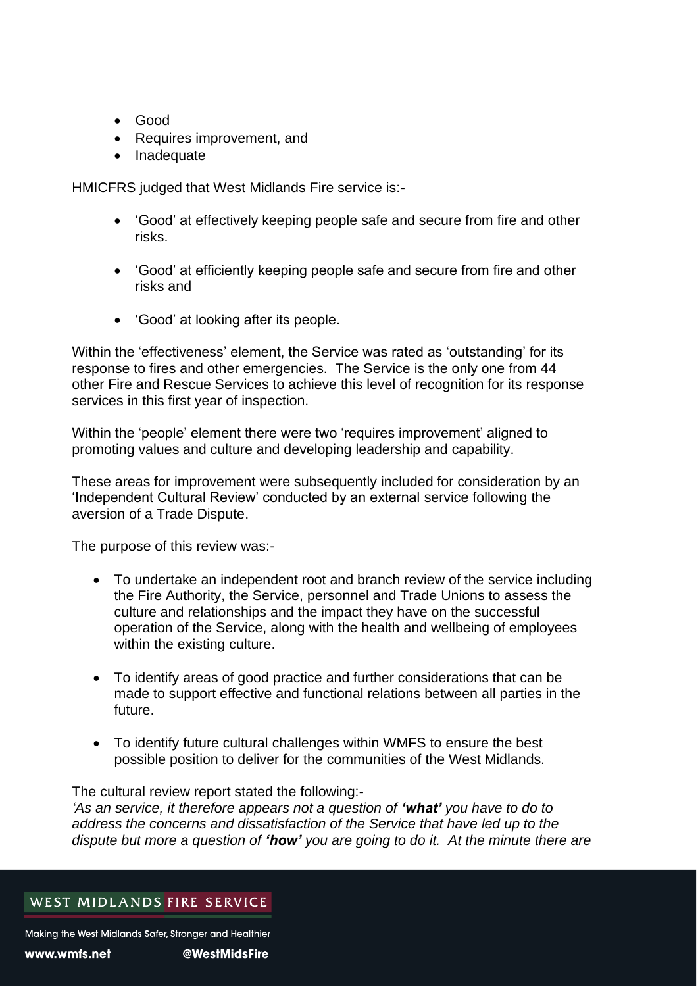- Good
- Requires improvement, and
- Inadequate

HMICFRS judged that West Midlands Fire service is:-

- 'Good' at effectively keeping people safe and secure from fire and other risks.
- 'Good' at efficiently keeping people safe and secure from fire and other risks and
- 'Good' at looking after its people.

Within the 'effectiveness' element, the Service was rated as 'outstanding' for its response to fires and other emergencies. The Service is the only one from 44 other Fire and Rescue Services to achieve this level of recognition for its response services in this first year of inspection.

Within the 'people' element there were two 'requires improvement' aligned to promoting values and culture and developing leadership and capability.

These areas for improvement were subsequently included for consideration by an 'Independent Cultural Review' conducted by an external service following the aversion of a Trade Dispute.

The purpose of this review was:-

- To undertake an independent root and branch review of the service including the Fire Authority, the Service, personnel and Trade Unions to assess the culture and relationships and the impact they have on the successful operation of the Service, along with the health and wellbeing of employees within the existing culture.
- To identify areas of good practice and further considerations that can be made to support effective and functional relations between all parties in the future.
- To identify future cultural challenges within WMFS to ensure the best possible position to deliver for the communities of the West Midlands.

The cultural review report stated the following:- *'As an service, it therefore appears not a question of 'what' you have to do to address the concerns and dissatisfaction of the Service that have led up to the dispute but more a question of 'how' you are going to do it. At the minute there are* 

# WEST MIDLANDS FIRE SERVICE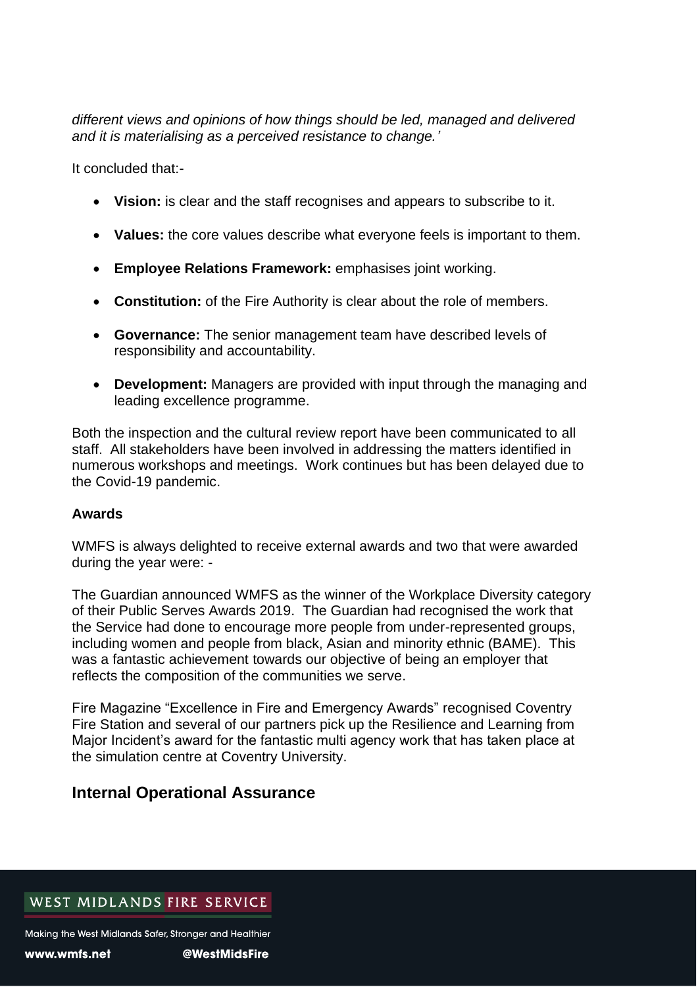*different views and opinions of how things should be led, managed and delivered and it is materialising as a perceived resistance to change.'*

It concluded that:-

- **Vision:** is clear and the staff recognises and appears to subscribe to it.
- **Values:** the core values describe what everyone feels is important to them.
- **Employee Relations Framework:** emphasises joint working.
- **Constitution:** of the Fire Authority is clear about the role of members.
- **Governance:** The senior management team have described levels of responsibility and accountability.
- **Development:** Managers are provided with input through the managing and leading excellence programme.

Both the inspection and the cultural review report have been communicated to all staff. All stakeholders have been involved in addressing the matters identified in numerous workshops and meetings. Work continues but has been delayed due to the Covid-19 pandemic.

### **Awards**

WMFS is always delighted to receive external awards and two that were awarded during the year were: -

The Guardian announced WMFS as the winner of the Workplace Diversity category of their Public Serves Awards 2019. The Guardian had recognised the work that the Service had done to encourage more people from under-represented groups, including women and people from black, Asian and minority ethnic (BAME). This was a fantastic achievement towards our objective of being an employer that reflects the composition of the communities we serve.

Fire Magazine "Excellence in Fire and Emergency Awards" recognised Coventry Fire Station and several of our partners pick up the Resilience and Learning from Major Incident's award for the fantastic multi agency work that has taken place at the simulation centre at Coventry University.

# **Internal Operational Assurance**

# WEST MIDLANDS FIRE SERVICE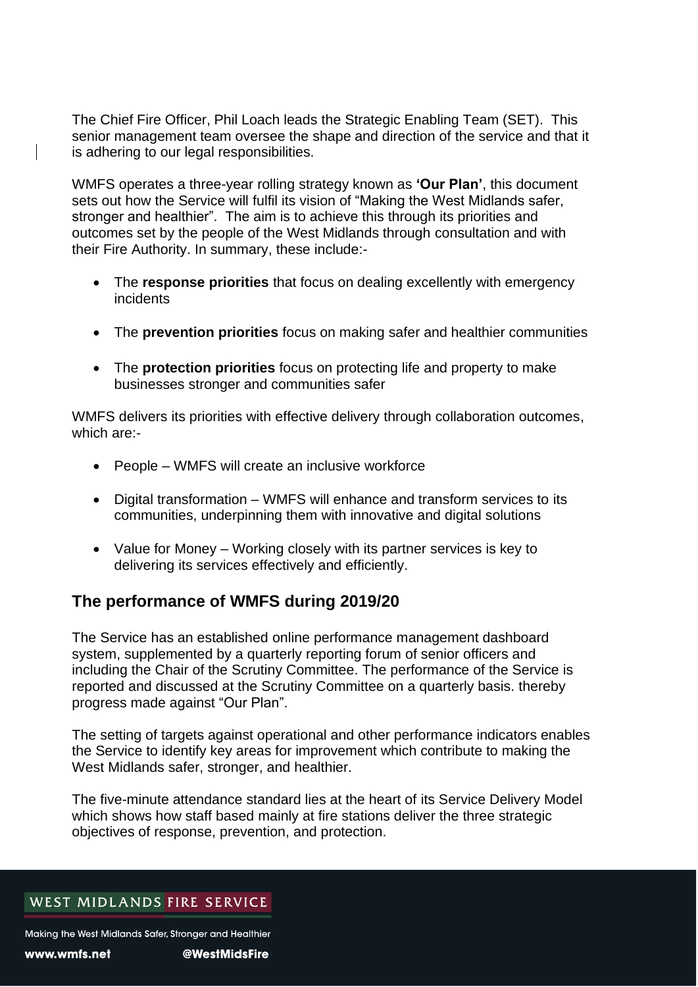The Chief Fire Officer, Phil Loach leads the Strategic Enabling Team (SET). This senior management team oversee the shape and direction of the service and that it is adhering to our legal responsibilities.

WMFS operates a three-year rolling strategy known as **'Our Plan'**, this document sets out how the Service will fulfil its vision of "Making the West Midlands safer, stronger and healthier". The aim is to achieve this through its priorities and outcomes set by the people of the West Midlands through consultation and with their Fire Authority. In summary, these include:-

- The **response priorities** that focus on dealing excellently with emergency incidents
- The **prevention priorities** focus on making safer and healthier communities
- The **protection priorities** focus on protecting life and property to make businesses stronger and communities safer

WMFS delivers its priorities with effective delivery through collaboration outcomes, which are:-

- People WMFS will create an inclusive workforce
- Digital transformation WMFS will enhance and transform services to its communities, underpinning them with innovative and digital solutions
- Value for Money Working closely with its partner services is key to delivering its services effectively and efficiently.

# **The performance of WMFS during 2019/20**

The Service has an established online performance management dashboard system, supplemented by a quarterly reporting forum of senior officers and including the Chair of the Scrutiny Committee. The performance of the Service is reported and discussed at the Scrutiny Committee on a quarterly basis. thereby progress made against "Our Plan".

The setting of targets against operational and other performance indicators enables the Service to identify key areas for improvement which contribute to making the West Midlands safer, stronger, and healthier.

The five-minute attendance standard lies at the heart of its Service Delivery Model which shows how staff based mainly at fire stations deliver the three strategic objectives of response, prevention, and protection.

## WEST MIDLANDS FIRE SERVICE

Making the West Midlands Safer, Stronger and Healthier

@WestMidsFire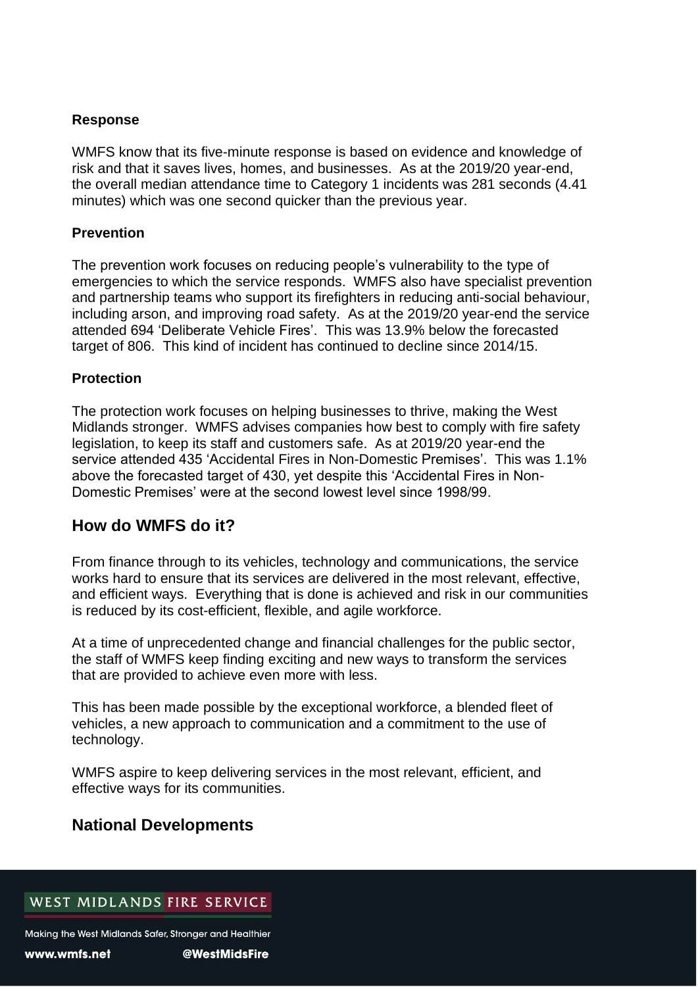### **Response**

WMFS know that its five-minute response is based on evidence and knowledge of risk and that it saves lives, homes, and businesses. As at the 2019/20 year-end, the overall median attendance time to Category 1 incidents was 281 seconds (4.41 minutes) which was one second quicker than the previous year.

#### **Prevention**

The prevention work focuses on reducing people's vulnerability to the type of emergencies to which the service responds. WMFS also have specialist prevention and partnership teams who support its firefighters in reducing anti-social behaviour, including arson, and improving road safety. As at the 2019/20 year-end the service attended 694 'Deliberate Vehicle Fires'. This was 13.9% below the forecasted target of 806. This kind of incident has continued to decline since 2014/15.

#### **Protection**

The protection work focuses on helping businesses to thrive, making the West Midlands stronger. WMFS advises companies how best to comply with fire safety legislation, to keep its staff and customers safe. As at 2019/20 year-end the service attended 435 'Accidental Fires in Non-Domestic Premises'. This was 1.1% above the forecasted target of 430, yet despite this 'Accidental Fires in Non-Domestic Premises' were at the second lowest level since 1998/99.

## **How do WMFS do it?**

From finance through to its vehicles, technology and communications, the service works hard to ensure that its services are delivered in the most relevant, effective, and efficient ways. Everything that is done is achieved and risk in our communities is reduced by its cost-efficient, flexible, and agile workforce.

At a time of unprecedented change and financial challenges for the public sector, the staff of WMFS keep finding exciting and new ways to transform the services that are provided to achieve even more with less.

This has been made possible by the exceptional workforce, a blended fleet of vehicles, a new approach to communication and a commitment to the use of technology.

WMFS aspire to keep delivering services in the most relevant, efficient, and effective ways for its communities.

## **National Developments**

# WEST MIDLANDS FIRE SERVICE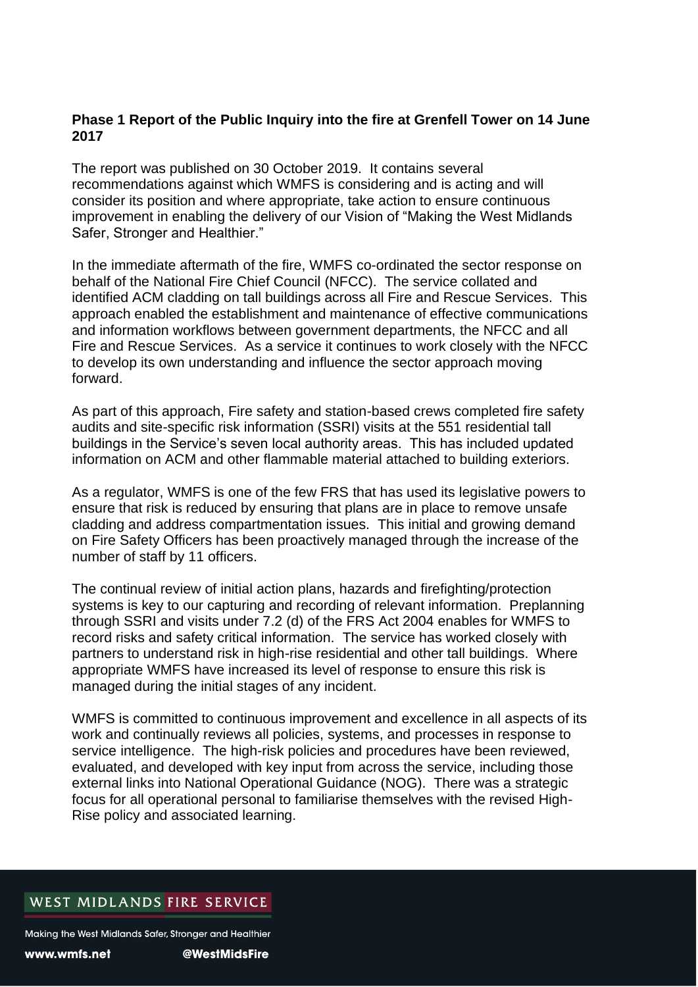### **Phase 1 Report of the Public Inquiry into the fire at Grenfell Tower on 14 June 2017**

The report was published on 30 October 2019. It contains several recommendations against which WMFS is considering and is acting and will consider its position and where appropriate, take action to ensure continuous improvement in enabling the delivery of our Vision of "Making the West Midlands Safer, Stronger and Healthier."

In the immediate aftermath of the fire, WMFS co-ordinated the sector response on behalf of the National Fire Chief Council (NFCC). The service collated and identified ACM cladding on tall buildings across all Fire and Rescue Services. This approach enabled the establishment and maintenance of effective communications and information workflows between government departments, the NFCC and all Fire and Rescue Services. As a service it continues to work closely with the NFCC to develop its own understanding and influence the sector approach moving forward.

As part of this approach, Fire safety and station-based crews completed fire safety audits and site-specific risk information (SSRI) visits at the 551 residential tall buildings in the Service's seven local authority areas. This has included updated information on ACM and other flammable material attached to building exteriors.

As a regulator, WMFS is one of the few FRS that has used its legislative powers to ensure that risk is reduced by ensuring that plans are in place to remove unsafe cladding and address compartmentation issues. This initial and growing demand on Fire Safety Officers has been proactively managed through the increase of the number of staff by 11 officers.

The continual review of initial action plans, hazards and firefighting/protection systems is key to our capturing and recording of relevant information. Preplanning through SSRI and visits under 7.2 (d) of the FRS Act 2004 enables for WMFS to record risks and safety critical information. The service has worked closely with partners to understand risk in high-rise residential and other tall buildings. Where appropriate WMFS have increased its level of response to ensure this risk is managed during the initial stages of any incident.

WMFS is committed to continuous improvement and excellence in all aspects of its work and continually reviews all policies, systems, and processes in response to service intelligence. The high-risk policies and procedures have been reviewed, evaluated, and developed with key input from across the service, including those external links into National Operational Guidance (NOG). There was a strategic focus for all operational personal to familiarise themselves with the revised High-Rise policy and associated learning.

## WEST MIDLANDS FIRE SERVICE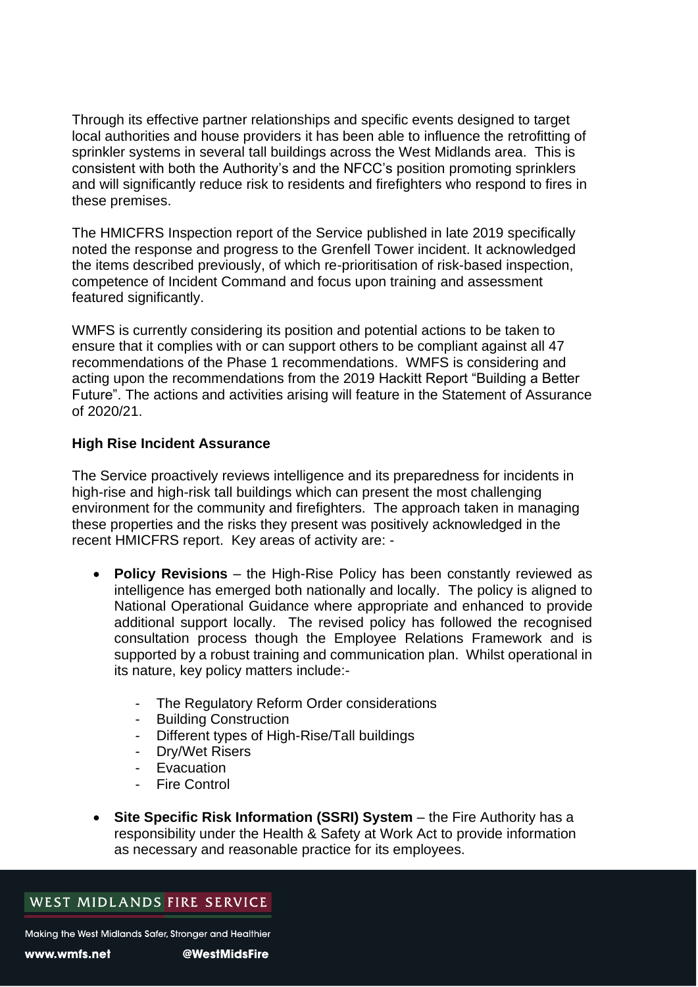Through its effective partner relationships and specific events designed to target local authorities and house providers it has been able to influence the retrofitting of sprinkler systems in several tall buildings across the West Midlands area. This is consistent with both the Authority's and the NFCC's position promoting sprinklers and will significantly reduce risk to residents and firefighters who respond to fires in these premises.

The HMICFRS Inspection report of the Service published in late 2019 specifically noted the response and progress to the Grenfell Tower incident. It acknowledged the items described previously, of which re-prioritisation of risk-based inspection, competence of Incident Command and focus upon training and assessment featured significantly.

WMFS is currently considering its position and potential actions to be taken to ensure that it complies with or can support others to be compliant against all 47 recommendations of the Phase 1 recommendations. WMFS is considering and acting upon the recommendations from the 2019 Hackitt Report "Building a Better Future". The actions and activities arising will feature in the Statement of Assurance of 2020/21.

### **High Rise Incident Assurance**

The Service proactively reviews intelligence and its preparedness for incidents in high-rise and high-risk tall buildings which can present the most challenging environment for the community and firefighters. The approach taken in managing these properties and the risks they present was positively acknowledged in the recent HMICFRS report. Key areas of activity are: -

- **Policy Revisions** the High-Rise Policy has been constantly reviewed as intelligence has emerged both nationally and locally. The policy is aligned to National Operational Guidance where appropriate and enhanced to provide additional support locally. The revised policy has followed the recognised consultation process though the Employee Relations Framework and is supported by a robust training and communication plan. Whilst operational in its nature, key policy matters include:-
	- The Regulatory Reform Order considerations
	- Building Construction
	- Different types of High-Rise/Tall buildings
	- Dry/Wet Risers
	- Evacuation
	- **Fire Control**
- **Site Specific Risk Information (SSRI) System** the Fire Authority has a responsibility under the Health & Safety at Work Act to provide information as necessary and reasonable practice for its employees.

# WEST MIDLANDS FIRE SERVICE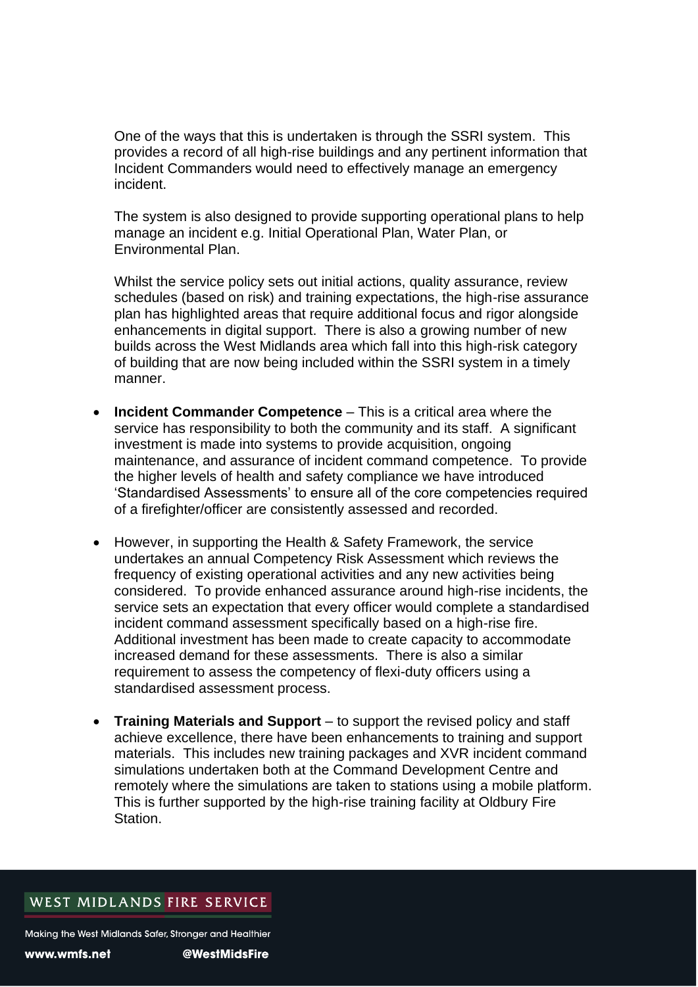One of the ways that this is undertaken is through the SSRI system. This provides a record of all high-rise buildings and any pertinent information that Incident Commanders would need to effectively manage an emergency incident.

The system is also designed to provide supporting operational plans to help manage an incident e.g. Initial Operational Plan, Water Plan, or Environmental Plan.

Whilst the service policy sets out initial actions, quality assurance, review schedules (based on risk) and training expectations, the high-rise assurance plan has highlighted areas that require additional focus and rigor alongside enhancements in digital support. There is also a growing number of new builds across the West Midlands area which fall into this high-risk category of building that are now being included within the SSRI system in a timely manner.

- **Incident Commander Competence** This is a critical area where the service has responsibility to both the community and its staff. A significant investment is made into systems to provide acquisition, ongoing maintenance, and assurance of incident command competence. To provide the higher levels of health and safety compliance we have introduced 'Standardised Assessments' to ensure all of the core competencies required of a firefighter/officer are consistently assessed and recorded.
- However, in supporting the Health & Safety Framework, the service undertakes an annual Competency Risk Assessment which reviews the frequency of existing operational activities and any new activities being considered. To provide enhanced assurance around high-rise incidents, the service sets an expectation that every officer would complete a standardised incident command assessment specifically based on a high-rise fire. Additional investment has been made to create capacity to accommodate increased demand for these assessments. There is also a similar requirement to assess the competency of flexi-duty officers using a standardised assessment process.
- **Training Materials and Support** to support the revised policy and staff achieve excellence, there have been enhancements to training and support materials. This includes new training packages and XVR incident command simulations undertaken both at the Command Development Centre and remotely where the simulations are taken to stations using a mobile platform. This is further supported by the high-rise training facility at Oldbury Fire Station.

## WEST MIDLANDS FIRE SERVICE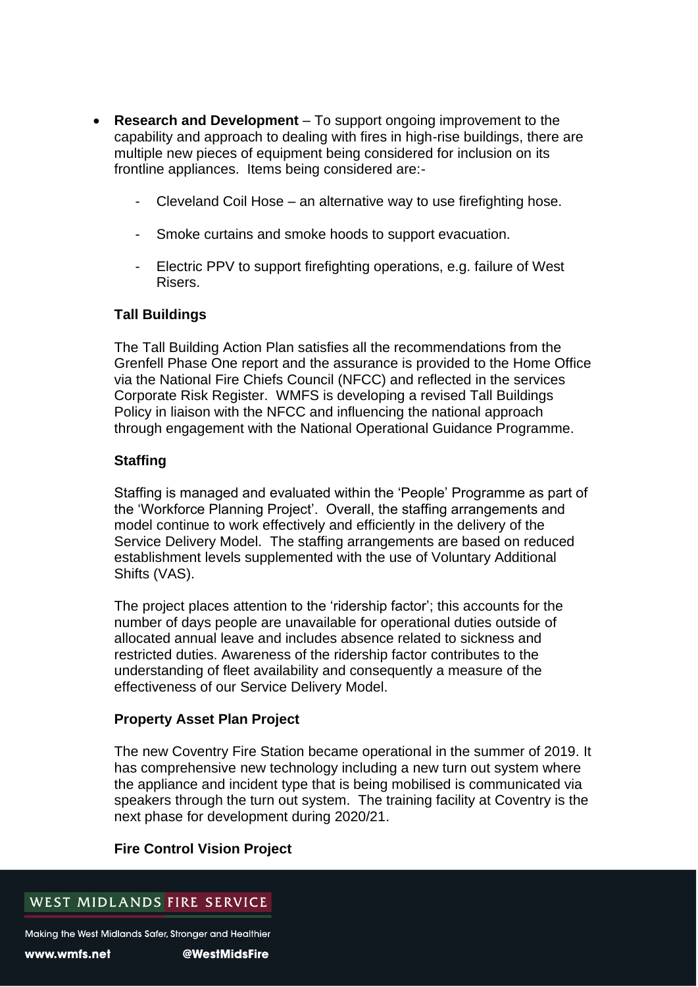- **Research and Development** To support ongoing improvement to the capability and approach to dealing with fires in high-rise buildings, there are multiple new pieces of equipment being considered for inclusion on its frontline appliances. Items being considered are:-
	- Cleveland Coil Hose an alternative way to use firefighting hose.
	- Smoke curtains and smoke hoods to support evacuation.
	- Electric PPV to support firefighting operations, e.g. failure of West Risers.

#### **Tall Buildings**

The Tall Building Action Plan satisfies all the recommendations from the Grenfell Phase One report and the assurance is provided to the Home Office via the National Fire Chiefs Council (NFCC) and reflected in the services Corporate Risk Register. WMFS is developing a revised Tall Buildings Policy in liaison with the NFCC and influencing the national approach through engagement with the National Operational Guidance Programme.

#### **Staffing**

Staffing is managed and evaluated within the 'People' Programme as part of the 'Workforce Planning Project'. Overall, the staffing arrangements and model continue to work effectively and efficiently in the delivery of the Service Delivery Model. The staffing arrangements are based on reduced establishment levels supplemented with the use of Voluntary Additional Shifts (VAS).

The project places attention to the 'ridership factor'; this accounts for the number of days people are unavailable for operational duties outside of allocated annual leave and includes absence related to sickness and restricted duties. Awareness of the ridership factor contributes to the understanding of fleet availability and consequently a measure of the effectiveness of our Service Delivery Model.

#### **Property Asset Plan Project**

The new Coventry Fire Station became operational in the summer of 2019. It has comprehensive new technology including a new turn out system where the appliance and incident type that is being mobilised is communicated via speakers through the turn out system. The training facility at Coventry is the next phase for development during 2020/21.

### **Fire Control Vision Project**

## WEST MIDLANDS FIRE SERVICE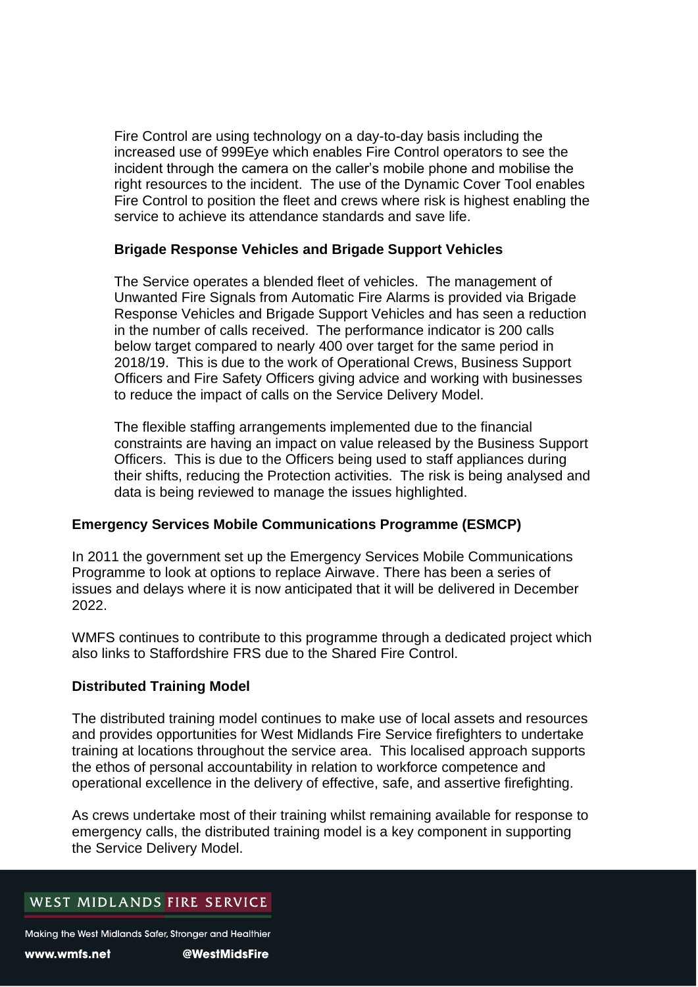Fire Control are using technology on a day-to-day basis including the increased use of 999Eye which enables Fire Control operators to see the incident through the camera on the caller's mobile phone and mobilise the right resources to the incident. The use of the Dynamic Cover Tool enables Fire Control to position the fleet and crews where risk is highest enabling the service to achieve its attendance standards and save life.

### **Brigade Response Vehicles and Brigade Support Vehicles**

The Service operates a blended fleet of vehicles. The management of Unwanted Fire Signals from Automatic Fire Alarms is provided via Brigade Response Vehicles and Brigade Support Vehicles and has seen a reduction in the number of calls received. The performance indicator is 200 calls below target compared to nearly 400 over target for the same period in 2018/19. This is due to the work of Operational Crews, Business Support Officers and Fire Safety Officers giving advice and working with businesses to reduce the impact of calls on the Service Delivery Model.

The flexible staffing arrangements implemented due to the financial constraints are having an impact on value released by the Business Support Officers. This is due to the Officers being used to staff appliances during their shifts, reducing the Protection activities. The risk is being analysed and data is being reviewed to manage the issues highlighted.

### **Emergency Services Mobile Communications Programme (ESMCP)**

In 2011 the government set up the Emergency Services Mobile Communications Programme to look at options to replace Airwave. There has been a series of issues and delays where it is now anticipated that it will be delivered in December 2022.

WMFS continues to contribute to this programme through a dedicated project which also links to Staffordshire FRS due to the Shared Fire Control.

### **Distributed Training Model**

The distributed training model continues to make use of local assets and resources and provides opportunities for West Midlands Fire Service firefighters to undertake training at locations throughout the service area. This localised approach supports the ethos of personal accountability in relation to workforce competence and operational excellence in the delivery of effective, safe, and assertive firefighting.

As crews undertake most of their training whilst remaining available for response to emergency calls, the distributed training model is a key component in supporting the Service Delivery Model.

## WEST MIDLANDS FIRE SERVICE